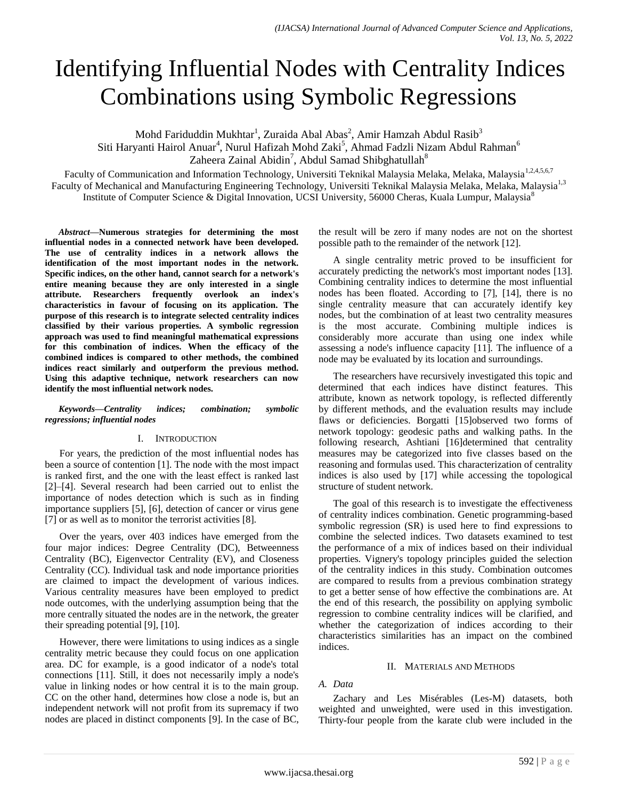# Identifying Influential Nodes with Centrality Indices Combinations using Symbolic Regressions

Mohd Fariduddin Mukhtar<sup>1</sup>, Zuraida Abal Abas<sup>2</sup>, Amir Hamzah Abdul Rasib<sup>3</sup> Siti Haryanti Hairol Anuar<sup>4</sup>, Nurul Hafizah Mohd Zaki<sup>5</sup>, Ahmad Fadzli Nizam Abdul Rahman<sup>6</sup> Zaheera Zainal Abidin<sup>7</sup>, Abdul Samad Shibghatullah<sup>8</sup>

Faculty of Communication and Information Technology, Universiti Teknikal Malaysia Melaka, Melaka, Malaysia<sup>1,2,4,5,6,7</sup> Faculty of Mechanical and Manufacturing Engineering Technology, Universiti Teknikal Malaysia Melaka, Melaka, Malaysia<sup>1,3</sup> Institute of Computer Science & Digital Innovation, UCSI University, 56000 Cheras, Kuala Lumpur, Malaysia<sup>8</sup>

*Abstract***—Numerous strategies for determining the most influential nodes in a connected network have been developed. The use of centrality indices in a network allows the identification of the most important nodes in the network. Specific indices, on the other hand, cannot search for a network's entire meaning because they are only interested in a single attribute. Researchers frequently overlook an index's characteristics in favour of focusing on its application. The purpose of this research is to integrate selected centrality indices classified by their various properties. A symbolic regression approach was used to find meaningful mathematical expressions for this combination of indices. When the efficacy of the combined indices is compared to other methods, the combined indices react similarly and outperform the previous method. Using this adaptive technique, network researchers can now identify the most influential network nodes.**

*Keywords—Centrality indices; combination; symbolic regressions; influential nodes*

### I. INTRODUCTION

For years, the prediction of the most influential nodes has been a source of contention [1]. The node with the most impact is ranked first, and the one with the least effect is ranked last [2]–[4]. Several research had been carried out to enlist the importance of nodes detection which is such as in finding importance suppliers [5], [6], detection of cancer or virus gene [7] or as well as to monitor the terrorist activities [8].

Over the years, over 403 indices have emerged from the four major indices: Degree Centrality (DC), Betweenness Centrality (BC), Eigenvector Centrality (EV), and Closeness Centrality (CC). Individual task and node importance priorities are claimed to impact the development of various indices. Various centrality measures have been employed to predict node outcomes, with the underlying assumption being that the more centrally situated the nodes are in the network, the greater their spreading potential [9], [10].

However, there were limitations to using indices as a single centrality metric because they could focus on one application area. DC for example, is a good indicator of a node's total connections [11]. Still, it does not necessarily imply a node's value in linking nodes or how central it is to the main group. CC on the other hand, determines how close a node is, but an independent network will not profit from its supremacy if two nodes are placed in distinct components [9]. In the case of BC,

the result will be zero if many nodes are not on the shortest possible path to the remainder of the network [12].

A single centrality metric proved to be insufficient for accurately predicting the network's most important nodes [13]. Combining centrality indices to determine the most influential nodes has been floated. According to [7], [14], there is no single centrality measure that can accurately identify key nodes, but the combination of at least two centrality measures is the most accurate. Combining multiple indices is considerably more accurate than using one index while assessing a node's influence capacity [11]. The influence of a node may be evaluated by its location and surroundings.

The researchers have recursively investigated this topic and determined that each indices have distinct features. This attribute, known as network topology, is reflected differently by different methods, and the evaluation results may include flaws or deficiencies. Borgatti [15]observed two forms of network topology: geodesic paths and walking paths. In the following research, Ashtiani [16]determined that centrality measures may be categorized into five classes based on the reasoning and formulas used. This characterization of centrality indices is also used by [17] while accessing the topological structure of student network.

The goal of this research is to investigate the effectiveness of centrality indices combination. Genetic programming-based symbolic regression (SR) is used here to find expressions to combine the selected indices. Two datasets examined to test the performance of a mix of indices based on their individual properties. Vignery's topology principles guided the selection of the centrality indices in this study. Combination outcomes are compared to results from a previous combination strategy to get a better sense of how effective the combinations are. At the end of this research, the possibility on applying symbolic regression to combine centrality indices will be clarified, and whether the categorization of indices according to their characteristics similarities has an impact on the combined indices.

### II. MATERIALS AND METHODS

## *A. Data*

Zachary and Les Misérables (Les-M) datasets, both weighted and unweighted, were used in this investigation. Thirty-four people from the karate club were included in the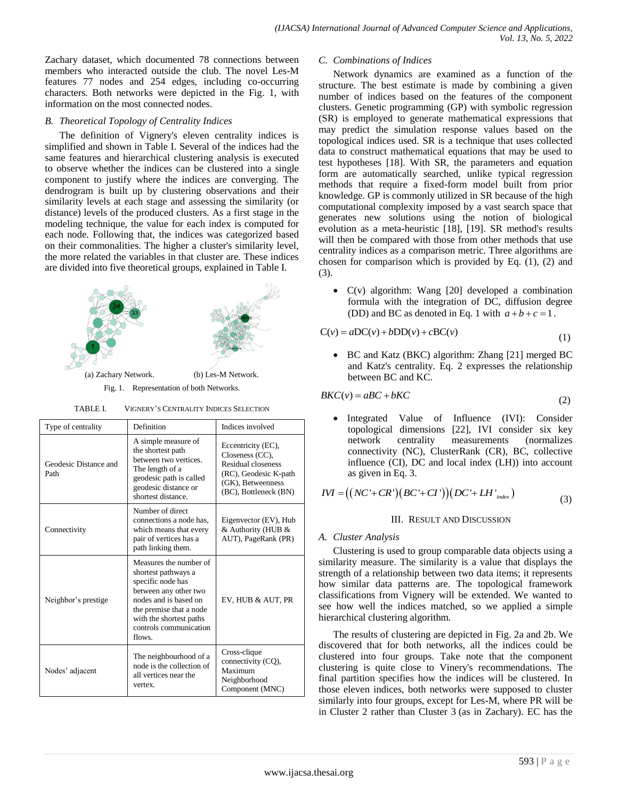Zachary dataset, which documented 78 connections between members who interacted outside the club. The novel Les-M features 77 nodes and 254 edges, including co-occurring characters. Both networks were depicted in the Fig. 1, with information on the most connected nodes.

# *B. Theoretical Topology of Centrality Indices*

The definition of Vignery's eleven centrality indices is simplified and shown in Table I. Several of the indices had the same features and hierarchical clustering analysis is executed to observe whether the indices can be clustered into a single component to justify where the indices are converging. The dendrogram is built up by clustering observations and their similarity levels at each stage and assessing the similarity (or distance) levels of the produced clusters. As a first stage in the modeling technique, the value for each index is computed for each node. Following that, the indices was categorized based on their commonalities. The higher a cluster's similarity level, the more related the variables in that cluster are. These indices are divided into five theoretical groups, explained in Table I.



TABLE I. VIGNERY'S CENTRALITY INDICES SELECTION

| Type of centrality            | Definition                                                                                                                                                                                                     | Indices involved                                                                                                                   |
|-------------------------------|----------------------------------------------------------------------------------------------------------------------------------------------------------------------------------------------------------------|------------------------------------------------------------------------------------------------------------------------------------|
| Geodesic Distance and<br>Path | A simple measure of<br>the shortest path<br>between two vertices.<br>The length of a<br>geodesic path is called<br>geodesic distance or<br>shortest distance.                                                  | Eccentricity (EC),<br>Closeness (CC),<br>Residual closeness<br>(RC), Geodesic K-path<br>(GK), Betweenness<br>(BC), Bottleneck (BN) |
| Connectivity                  | Number of direct<br>connections a node has.<br>which means that every<br>pair of vertices has a<br>path linking them.                                                                                          | Eigenvector (EV), Hub<br>& Authority (HUB &<br>AUT), PageRank (PR)                                                                 |
| Neighbor's prestige           | Measures the number of<br>shortest pathways a<br>specific node has<br>between any other two<br>nodes and is based on<br>the premise that a node<br>with the shortest paths<br>controls communication<br>flows. | EV, HUB & AUT, PR                                                                                                                  |
| Nodes' adjacent               | The neighbourhood of a<br>node is the collection of<br>all vertices near the<br>vertex.                                                                                                                        | Cross-clique<br>connectivity (CQ),<br>Maximum<br>Neighborhood<br>Component (MNC)                                                   |

# *C. Combinations of Indices*

Network dynamics are examined as a function of the structure. The best estimate is made by combining a given number of indices based on the features of the component clusters. Genetic programming (GP) with symbolic regression (SR) is employed to generate mathematical expressions that may predict the simulation response values based on the topological indices used. SR is a technique that uses collected data to construct mathematical equations that may be used to test hypotheses [18]. With SR, the parameters and equation form are automatically searched, unlike typical regression methods that require a fixed-form model built from prior knowledge. GP is commonly utilized in SR because of the high computational complexity imposed by a vast search space that generates new solutions using the notion of biological evolution as a meta-heuristic [18], [19]. SR method's results will then be compared with those from other methods that use centrality indices as a comparison metric. Three algorithms are chosen for comparison which is provided by Eq. (1), (2) and (3).

 C(v) algorithm: Wang [20] developed a combination formula with the integration of DC, diffusion degree (DD) and BC as denoted in Eq. 1 with  $a+b+c=1$ .

$$
C(v) = aDC(v) + bDD(v) + cBC(v)
$$
\n(1)

 BC and Katz (BKC) algorithm: Zhang [21] merged BC and Katz's centrality. Eq. 2 expresses the relationship between BC and KC.

$$
BKC(v) = aBC + bKC
$$

 Integrated Value of Influence (IVI): Consider topological dimensions [22], IVI consider six key network centrality measurements (normalizes connectivity (NC), ClusterRank (CR), BC, collective influence (CI), DC and local index (LH)) into account as given in Eq. 3.

as given in Eq. 3.  
\n
$$
IVI = ((NC' + CR')(BC' + CI'))(DC' + LH'_{index})
$$
\n(3)

### III. RESULT AND DISCUSSION

# *A. Cluster Analysis*

Clustering is used to group comparable data objects using a similarity measure. The similarity is a value that displays the strength of a relationship between two data items; it represents how similar data patterns are. The topological framework classifications from Vignery will be extended. We wanted to see how well the indices matched, so we applied a simple hierarchical clustering algorithm.

The results of clustering are depicted in Fig. 2a and 2b. We discovered that for both networks, all the indices could be clustered into four groups. Take note that the component clustering is quite close to Vinery's recommendations. The final partition specifies how the indices will be clustered. In those eleven indices, both networks were supposed to cluster similarly into four groups, except for Les-M, where PR will be in Cluster 2 rather than Cluster 3 (as in Zachary). EC has the

(2)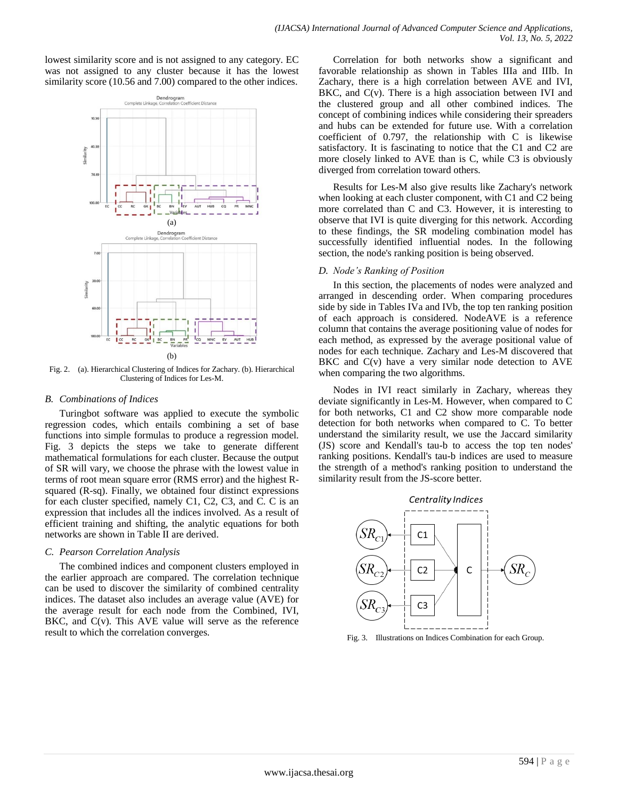lowest similarity score and is not assigned to any category. EC was not assigned to any cluster because it has the lowest similarity score (10.56 and 7.00) compared to the other indices.



Fig. 2. (a). Hierarchical Clustering of Indices for Zachary. (b). Hierarchical Clustering of Indices for Les-M.

#### *B. Combinations of Indices*

Turingbot software was applied to execute the symbolic regression codes, which entails combining a set of base functions into simple formulas to produce a regression model. Fig. 3 depicts the steps we take to generate different mathematical formulations for each cluster. Because the output of SR will vary, we choose the phrase with the lowest value in terms of root mean square error (RMS error) and the highest Rsquared (R-sq). Finally, we obtained four distinct expressions for each cluster specified, namely C1, C2, C3, and C. C is an expression that includes all the indices involved. As a result of efficient training and shifting, the analytic equations for both networks are shown in Table II are derived.

### *C. Pearson Correlation Analysis*

The combined indices and component clusters employed in the earlier approach are compared. The correlation technique can be used to discover the similarity of combined centrality indices. The dataset also includes an average value (AVE) for the average result for each node from the Combined, IVI, BKC, and C(v). This AVE value will serve as the reference result to which the correlation converges.

Correlation for both networks show a significant and favorable relationship as shown in Tables IIIa and IIIb. In Zachary, there is a high correlation between AVE and IVI, BKC, and  $C(v)$ . There is a high association between IVI and the clustered group and all other combined indices. The concept of combining indices while considering their spreaders and hubs can be extended for future use. With a correlation coefficient of 0.797, the relationship with C is likewise satisfactory. It is fascinating to notice that the C1 and C2 are more closely linked to AVE than is C, while C3 is obviously diverged from correlation toward others.

Results for Les-M also give results like Zachary's network when looking at each cluster component, with C1 and C2 being more correlated than C and C3. However, it is interesting to observe that IVI is quite diverging for this network. According to these findings, the SR modeling combination model has successfully identified influential nodes. In the following section, the node's ranking position is being observed.

### *D. Node's Ranking of Position*

In this section, the placements of nodes were analyzed and arranged in descending order. When comparing procedures side by side in Tables IVa and IVb, the top ten ranking position of each approach is considered. NodeAVE is a reference column that contains the average positioning value of nodes for each method, as expressed by the average positional value of nodes for each technique. Zachary and Les-M discovered that BKC and C(v) have a very similar node detection to AVE when comparing the two algorithms.

Nodes in IVI react similarly in Zachary, whereas they deviate significantly in Les-M. However, when compared to C for both networks, C1 and C2 show more comparable node detection for both networks when compared to C. To better understand the similarity result, we use the Jaccard similarity (JS) score and Kendall's tau-b to access the top ten nodes' ranking positions. Kendall's tau-b indices are used to measure the strength of a method's ranking position to understand the similarity result from the JS-score better.



Fig. 3. Illustrations on Indices Combination for each Group.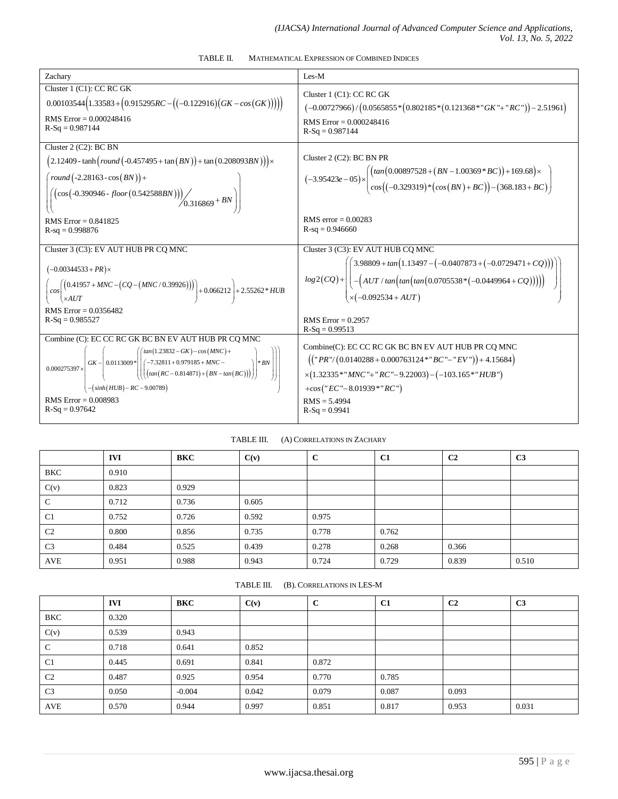TABLE II. MATHEMATICAL EXPRESSION OF COMBINED INDICES

| Zachary                                                                                                                                                                                                                                                                                                                                                      | $I$ es- $M$                                                                                                                                                                                                                                                                      |
|--------------------------------------------------------------------------------------------------------------------------------------------------------------------------------------------------------------------------------------------------------------------------------------------------------------------------------------------------------------|----------------------------------------------------------------------------------------------------------------------------------------------------------------------------------------------------------------------------------------------------------------------------------|
| Cluster 1 (C1): CC RC GK<br>$(0.00103544(1.33583 + (0.915295 RC - ((-0.122916)(GK - cos(GK)))))$<br>RMS Error = $0.000248416$<br>$R-Sq = 0.987144$                                                                                                                                                                                                           | Cluster 1 (C1): CC RC GK<br>$(-0.00727966)/(0.0565855*(0.802185*(0.121368*"GK" + "RC")) - 2.51961)$<br>RMS $Error = 0.000248416$<br>$R-Sq = 0.987144$                                                                                                                            |
| Cluster 2 (C2): BC BN<br>$(2.12409 - \tanh(round(-0.457495 + \tan(BN)) + \tan(0.208093BN))) \times$<br>round $(-2.28163 - \cos(BN)) +$<br>$\left[\left(\cos\left(-0.390946 - floor\left(0.542588BN\right)\right)\right)\right)$ $\left(\left(0.316869 + BN\right)\right)$<br><b>RMS</b> Error = $0.841825$<br>$R-sq = 0.998876$                              | Cluster $2$ (C2): BC BN PR<br>$(-3.95423e-05)\times\left(\frac{\left(tan(0.00897528+(BN-1.00369*BC)\right)+169.68)}{cos((-0.329319)*(cos(BN)+BC))-(368.183+BC)}\right)$<br>RMS error = $0.00283$<br>$R-sq = 0.946660$                                                            |
| Cluster 3 (C3): EV AUT HUB PR CQ MNC<br>$(-0.00344533 + PR) \times$<br>$\left(\frac{(0.41957 + MNC - (CQ - (MNC / 0.39926)))}{*AUT}\right) + 0.066212 + 2.55262*HUB$<br>$\cos$<br>$\times$ AUT<br>RMS $Error = 0.0356482$<br>$R-Sq = 0.985527$                                                                                                               | Cluster 3 (C3): EV AUT HUB CQ MNC<br>$log 2(CQ) + \left( \left( \frac{3.98809 + tan(1.13497 - (-0.0407873 + (-0.0729471 + CQ)))}{-(AUT / tan(tan(tan(0.0705538*(-0.0449964 + CQ)))))} \right) \right)$<br>$\times (-0.092534 + AUT)$<br>RMS $Error = 0.2957$<br>$R-Sq = 0.99513$ |
| Combine (C): EC CC RC GK BC BN EV AUT HUB PR CQ MNC<br>$\int \tan(1.23832 - GK) - \cos(MNC) +$<br>$GK -  0.0113009*   (-7.32811 + 0.979185 + MNC -$<br>$ *BN$<br>$0.000275397\times$<br>$\left( \left( \left( \tan (RC - 0.814871) + (BN - tan(BC)) \right) \right) \right)$<br>$-(\sinh(HUB) - RC - 9.00789)$<br>RMS $Error = 0.008983$<br>$R-Sq = 0.97642$ | Combine(C): EC CC RC GK BC BN EV AUT HUB PR CQ MNC<br>$(("PR"/(0.0140288 + 0.000763124) * "BC" - "EV") + 4.15684)$<br>$\times$ (1.32335*" MNC"+" RC"-9.22003) - (-103.165*" HUB")<br>+cos("EC"-8.01939*"RC")<br>$RMS = 5.4994$<br>$R-Sq = 0.9941$                                |

### TABLE III. (A) CORRELATIONS IN ZACHARY

|                | <b>IVI</b> | <b>BKC</b> | C(v)  | $\mathbf{C}$ | C <sub>1</sub> | C <sub>2</sub> | C <sub>3</sub> |
|----------------|------------|------------|-------|--------------|----------------|----------------|----------------|
| BKC            | 0.910      |            |       |              |                |                |                |
| C(v)           | 0.823      | 0.929      |       |              |                |                |                |
| C              | 0.712      | 0.736      | 0.605 |              |                |                |                |
| C <sub>1</sub> | 0.752      | 0.726      | 0.592 | 0.975        |                |                |                |
| C <sub>2</sub> | 0.800      | 0.856      | 0.735 | 0.778        | 0.762          |                |                |
| C <sub>3</sub> | 0.484      | 0.525      | 0.439 | 0.278        | 0.268          | 0.366          |                |
| AVE            | 0.951      | 0.988      | 0.943 | 0.724        | 0.729          | 0.839          | 0.510          |

TABLE III. (B). CORRELATIONS IN LES-M

|                | <b>IVI</b> | <b>BKC</b> | C(v)  | $\mathbf c$ | C1    | C <sub>2</sub> | C <sub>3</sub> |
|----------------|------------|------------|-------|-------------|-------|----------------|----------------|
| BKC            | 0.320      |            |       |             |       |                |                |
| C(v)           | 0.539      | 0.943      |       |             |       |                |                |
| C              | 0.718      | 0.641      | 0.852 |             |       |                |                |
| C <sub>1</sub> | 0.445      | 0.691      | 0.841 | 0.872       |       |                |                |
| C <sub>2</sub> | 0.487      | 0.925      | 0.954 | 0.770       | 0.785 |                |                |
| C <sub>3</sub> | 0.050      | $-0.004$   | 0.042 | 0.079       | 0.087 | 0.093          |                |
| AVE            | 0.570      | 0.944      | 0.997 | 0.851       | 0.817 | 0.953          | 0.031          |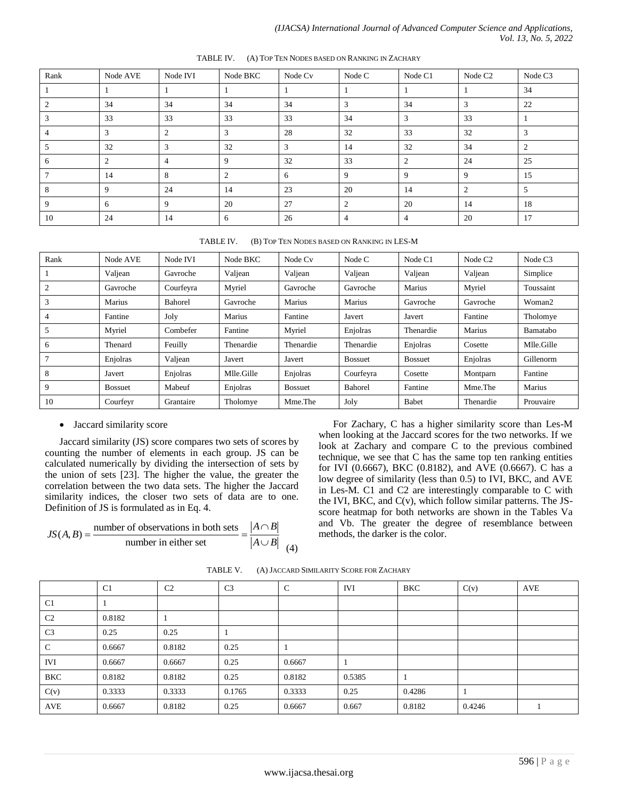| Rank         | Node AVE | Node IVI       | Node BKC       | Node Cv | Node C | Node C1 | Node C <sub>2</sub> | Node C <sub>3</sub> |
|--------------|----------|----------------|----------------|---------|--------|---------|---------------------|---------------------|
|              |          |                |                |         |        |         |                     | 34                  |
|              | 34       | 34             | 34             | 34      | 3      | 34      | 3                   | 22                  |
|              | 33       | 33             | 33             | 33      | 34     | 3       | 33                  |                     |
|              | 3        | $\overline{2}$ | 3              | 28      | 32     | 33      | 32                  | 3                   |
|              | 32       | 3              | 32             | 3       | 14     | 32      | 34                  | $\overline{2}$      |
| <sub>6</sub> | 2        | $\overline{4}$ | 9              | 32      | 33     | 2       | 24                  | 25                  |
|              | 14       | 8              | $\overline{2}$ | 6       | 9      | 9       | 9                   | 15                  |
|              | 9        | 24             | 14             | 23      | 20     | 14      | ◠                   | 5                   |
| -9           | 6        | 9              | 20             | 27      | 2      | 20      | 14                  | 18                  |
| 10           | 24       | 14             | 6              | 26      | 4      | 4       | 20                  | 17                  |

TABLE IV. (A) TOP TEN NODES BASED ON RANKING IN ZACHARY

| Rank           | Node AVE       | Node IVI  | Node BKC   | Node Cv        | Node C         | Node C1        | Node C <sub>2</sub> | Node C <sub>3</sub> |
|----------------|----------------|-----------|------------|----------------|----------------|----------------|---------------------|---------------------|
|                | Valjean        | Gavroche  | Valjean    | Valjean        | Valjean        | Valjean        | Valjean             | Simplice            |
| $\overline{2}$ | Gavroche       | Courfeyra | Myriel     | Gavroche       | Gavroche       | Marius         | Myriel              | Toussaint           |
| 3              | Marius         | Bahorel   | Gavroche   | Marius         | Marius         | Gavroche       | Gavroche            | Woman2              |
| 4              | Fantine        | Joly      | Marius     | Fantine        | Javert         | Javert         | Fantine             | Tholomye            |
| 5              | Myriel         | Combefer  | Fantine    | Myriel         | Enjolras       | Thenardie      | Marius              | Bamatabo            |
| 6              | Thenard        | Feuilly   | Thenardie  | Thenardie      | Thenardie      | Enjolras       | Cosette             | Mlle.Gille          |
| $\overline{7}$ | Enjolras       | Valjean   | Javert     | Javert         | <b>Bossuet</b> | <b>Bossuet</b> | Enjolras            | Gillenorm           |
| 8              | Javert         | Enjolras  | Mlle.Gille | Enjolras       | Courfeyra      | Cosette        | Montparn            | Fantine             |
| 9              | <b>Bossuet</b> | Mabeuf    | Enjolras   | <b>Bossuet</b> | <b>Bahorel</b> | Fantine        | Mme.The             | Marius              |
| 10             | Courfeyr       | Grantaire | Tholomye   | Mme. The       | Joly           | Babet          | Thenardie           | Prouvaire           |

### Jaccard similarity score

Jaccard similarity (JS) score compares two sets of scores by counting the number of elements in each group. JS can be calculated numerically by dividing the intersection of sets by the union of sets [23]. The higher the value, the greater the correlation between the two data sets. The higher the Jaccard similarity indices, the closer two sets of data are to one. Definition of JS is formulated as in Eq. 4.

Definition of JS is formulated as in Eq. 4.  
\n
$$
JS(A, B) = \frac{\text{number of observations in both sets}}{\text{number in either set}} = \frac{|A \cap B|}{|A \cup B|}
$$
\n(4)

For Zachary, C has a higher similarity score than Les-M when looking at the Jaccard scores for the two networks. If we look at Zachary and compare C to the previous combined technique, we see that C has the same top ten ranking entities for IVI (0.6667), BKC (0.8182), and AVE (0.6667). C has a low degree of similarity (less than 0.5) to IVI, BKC, and AVE in Les-M. C1 and C2 are interestingly comparable to C with the IVI, BKC, and C(v), which follow similar patterns. The JSscore heatmap for both networks are shown in the Tables Va and Vb. The greater the degree of resemblance between methods, the darker is the color.

| $\mathbf C$<br>C <sub>3</sub><br>C <sub>1</sub><br>C <sub>2</sub><br><b>IVI</b><br>C(v)<br><b>BKC</b><br>AVE<br>C <sub>1</sub><br>C <sub>2</sub><br>0.8182<br>C <sub>3</sub><br>0.25<br>0.25<br>$\mathbf C$<br>0.8182<br>0.25<br>0.6667<br><b>IVI</b><br>0.25<br>0.6667<br>0.6667<br>0.6667<br><b>BKC</b><br>0.8182<br>0.25<br>0.8182<br>0.8182<br>0.5385<br>0.25<br>C(v)<br>0.3333<br>0.3333<br>0.3333<br>0.1765<br>0.4286 |  |  |  |  |  |
|-----------------------------------------------------------------------------------------------------------------------------------------------------------------------------------------------------------------------------------------------------------------------------------------------------------------------------------------------------------------------------------------------------------------------------|--|--|--|--|--|
|                                                                                                                                                                                                                                                                                                                                                                                                                             |  |  |  |  |  |
|                                                                                                                                                                                                                                                                                                                                                                                                                             |  |  |  |  |  |
|                                                                                                                                                                                                                                                                                                                                                                                                                             |  |  |  |  |  |
|                                                                                                                                                                                                                                                                                                                                                                                                                             |  |  |  |  |  |
|                                                                                                                                                                                                                                                                                                                                                                                                                             |  |  |  |  |  |
|                                                                                                                                                                                                                                                                                                                                                                                                                             |  |  |  |  |  |
|                                                                                                                                                                                                                                                                                                                                                                                                                             |  |  |  |  |  |
|                                                                                                                                                                                                                                                                                                                                                                                                                             |  |  |  |  |  |
| <b>AVE</b><br>0.8182<br>0.25<br>0.667<br>0.8182<br>0.6667<br>0.6667<br>0.4246                                                                                                                                                                                                                                                                                                                                               |  |  |  |  |  |

TABLE V. (A) JACCARD SIMILARITY SCORE FOR ZACHARY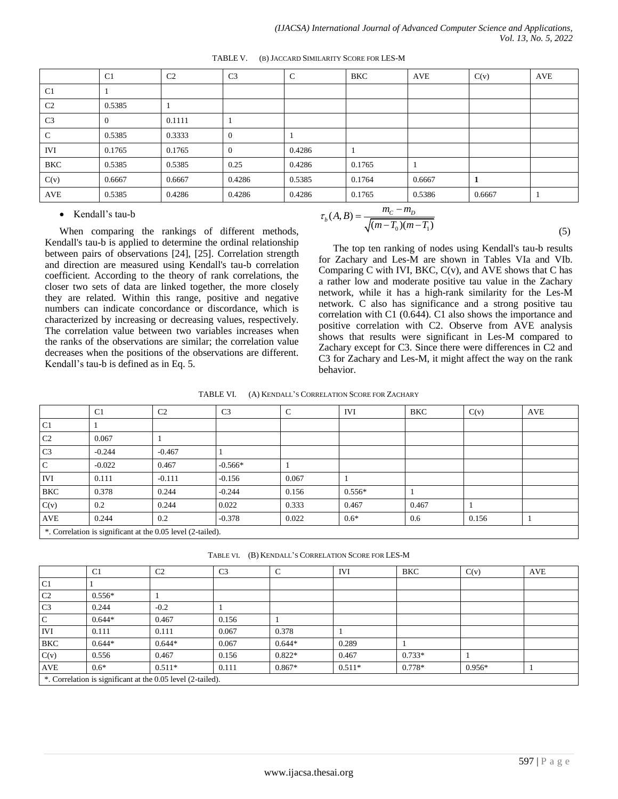|                | C <sub>1</sub> | C <sub>2</sub> | C <sub>3</sub> | $\mathsf{C}$ | <b>BKC</b> | AVE    | C(v)   | <b>AVE</b> |
|----------------|----------------|----------------|----------------|--------------|------------|--------|--------|------------|
| C <sub>1</sub> |                |                |                |              |            |        |        |            |
| C <sub>2</sub> | 0.5385         |                |                |              |            |        |        |            |
| C <sub>3</sub> | $\theta$       | 0.1111         |                |              |            |        |        |            |
| $\mathbf C$    | 0.5385         | 0.3333         | $\theta$       |              |            |        |        |            |
| <b>IVI</b>     | 0.1765         | 0.1765         | $\theta$       | 0.4286       |            |        |        |            |
| BKC            | 0.5385         | 0.5385         | 0.25           | 0.4286       | 0.1765     |        |        |            |
| C(v)           | 0.6667         | 0.6667         | 0.4286         | 0.5385       | 0.1764     | 0.6667 | 1      |            |
| AVE            | 0.5385         | 0.4286         | 0.4286         | 0.4286       | 0.1765     | 0.5386 | 0.6667 |            |

TABLE V. (B) JACCARD SIMILARITY SCORE FOR LES-M

#### • Kendall's tau-b

When comparing the rankings of different methods, Kendall's tau-b is applied to determine the ordinal relationship between pairs of observations [24], [25]. Correlation strength and direction are measured using Kendall's tau-b correlation coefficient. According to the theory of rank correlations, the closer two sets of data are linked together, the more closely they are related. Within this range, positive and negative numbers can indicate concordance or discordance, which is characterized by increasing or decreasing values, respectively. The correlation value between two variables increases when the ranks of the observations are similar; the correlation value decreases when the positions of the observations are different. Kendall's tau-b is defined as in Eq. 5.

$$
\tau_b(A, B) = \frac{m_c - m_D}{\sqrt{(m - T_0)(m - T_1)}}
$$
\n(5)

The top ten ranking of nodes using Kendall's tau-b results for Zachary and Les-M are shown in Tables VIa and VIb. Comparing C with IVI, BKC,  $C(v)$ , and AVE shows that C has a rather low and moderate positive tau value in the Zachary network, while it has a high-rank similarity for the Les-M network. C also has significance and a strong positive tau correlation with C1 (0.644). C1 also shows the importance and positive correlation with C2. Observe from AVE analysis shows that results were significant in Les-M compared to Zachary except for C3. Since there were differences in C2 and C3 for Zachary and Les-M, it might affect the way on the rank behavior.

TABLE VI. (A) KENDALL'S CORRELATION SCORE FOR ZACHARY

|                | C <sub>1</sub>                                              | C <sub>2</sub> | C <sub>3</sub> | $\mathsf{C}$ | <b>IVI</b> | BKC   | C(v)  | <b>AVE</b> |
|----------------|-------------------------------------------------------------|----------------|----------------|--------------|------------|-------|-------|------------|
| C1             |                                                             |                |                |              |            |       |       |            |
| C2             | 0.067                                                       |                |                |              |            |       |       |            |
| C <sub>3</sub> | $-0.244$                                                    | $-0.467$       |                |              |            |       |       |            |
| $\mathbf C$    | $-0.022$                                                    | 0.467          | $-0.566*$      |              |            |       |       |            |
| <b>IVI</b>     | 0.111                                                       | $-0.111$       | $-0.156$       | 0.067        |            |       |       |            |
| <b>BKC</b>     | 0.378                                                       | 0.244          | $-0.244$       | 0.156        | $0.556*$   |       |       |            |
| C(v)           | 0.2                                                         | 0.244          | 0.022          | 0.333        | 0.467      | 0.467 |       |            |
| AVE            | 0.244                                                       | 0.2            | $-0.378$       | 0.022        | $0.6*$     | 0.6   | 0.156 |            |
|                | *. Correlation is significant at the 0.05 level (2-tailed). |                |                |              |            |       |       |            |

TABLE VI. (B) KENDALL'S CORRELATION SCORE FOR LES-M

|                | C1       | C <sub>2</sub>                                              | C <sub>3</sub> | C        | <b>IVI</b> | <b>BKC</b> | C(v)     | <b>AVE</b> |
|----------------|----------|-------------------------------------------------------------|----------------|----------|------------|------------|----------|------------|
| C <sub>1</sub> |          |                                                             |                |          |            |            |          |            |
| C <sub>2</sub> | $0.556*$ |                                                             |                |          |            |            |          |            |
| C <sub>3</sub> | 0.244    | $-0.2$                                                      |                |          |            |            |          |            |
| $\mathcal{C}$  | $0.644*$ | 0.467                                                       | 0.156          |          |            |            |          |            |
| <b>IVI</b>     | 0.111    | 0.111                                                       | 0.067          | 0.378    |            |            |          |            |
| <b>BKC</b>     | $0.644*$ | $0.644*$                                                    | 0.067          | $0.644*$ | 0.289      |            |          |            |
| C(v)           | 0.556    | 0.467                                                       | 0.156          | $0.822*$ | 0.467      | $0.733*$   |          |            |
| AVE            | $0.6*$   | $0.511*$                                                    | 0.111          | $0.867*$ | $0.511*$   | $0.778*$   | $0.956*$ |            |
|                |          | *. Correlation is significant at the 0.05 level (2-tailed). |                |          |            |            |          |            |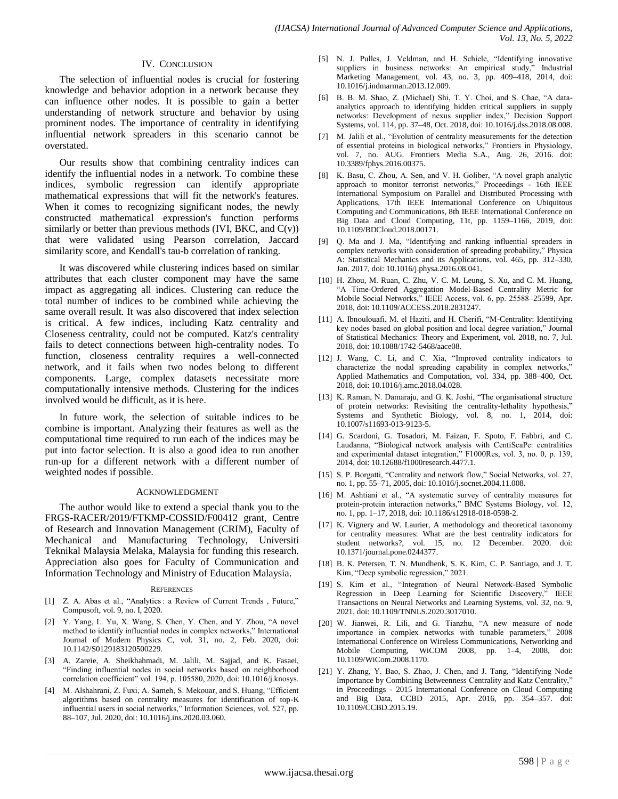#### IV. CONCLUSION

The selection of influential nodes is crucial for fostering knowledge and behavior adoption in a network because they can influence other nodes. It is possible to gain a better understanding of network structure and behavior by using prominent nodes. The importance of centrality in identifying influential network spreaders in this scenario cannot be overstated.

Our results show that combining centrality indices can identify the influential nodes in a network. To combine these indices, symbolic regression can identify appropriate mathematical expressions that will fit the network's features. When it comes to recognizing significant nodes, the newly constructed mathematical expression's function performs similarly or better than previous methods (IVI, BKC, and  $C(v)$ ) that were validated using Pearson correlation, Jaccard similarity score, and Kendall's tau-b correlation of ranking.

It was discovered while clustering indices based on similar attributes that each cluster component may have the same impact as aggregating all indices. Clustering can reduce the total number of indices to be combined while achieving the same overall result. It was also discovered that index selection is critical. A few indices, including Katz centrality and Closeness centrality, could not be computed. Katz's centrality fails to detect connections between high-centrality nodes. To function, closeness centrality requires a well-connected network, and it fails when two nodes belong to different components. Large, complex datasets necessitate more computationally intensive methods. Clustering for the indices involved would be difficult, as it is here.

In future work, the selection of suitable indices to be combine is important. Analyzing their features as well as the computational time required to run each of the indices may be put into factor selection. It is also a good idea to run another run-up for a different network with a different number of weighted nodes if possible.

#### ACKNOWLEDGMENT

The author would like to extend a special thank you to the FRGS-RACER/2019/FTKMP-COSSID/F00412 grant, Centre of Research and Innovation Management (CRIM), Faculty of Mechanical and Manufacturing Technology, Universiti Teknikal Malaysia Melaka, Malaysia for funding this research. Appreciation also goes for Faculty of Communication and Information Technology and Ministry of Education Malaysia.

#### **REFERENCES**

- [1] Z. A. Abas et al., "Analytics : a Review of Current Trends , Future," Compusoft, vol. 9, no. I, 2020.
- [2] Y. Yang, L. Yu, X. Wang, S. Chen, Y. Chen, and Y. Zhou, "A novel method to identify influential nodes in complex networks," International Journal of Modern Physics C, vol. 31, no. 2, Feb. 2020, doi: 10.1142/S0129183120500229.
- [3] A. Zareie, A. Sheikhahmadi, M. Jalili, M. Sajjad, and K. Fasaei, "Finding influential nodes in social networks based on neighborhood correlation coefficient" vol. 194, p. 105580, 2020, doi: 10.1016/j.knosys.
- [4] M. Alshahrani, Z. Fuxi, A. Sameh, S. Mekouar, and S. Huang, "Efficient algorithms based on centrality measures for identification of top-K influential users in social networks," Information Sciences, vol. 527, pp. 88–107, Jul. 2020, doi: 10.1016/j.ins.2020.03.060.
- [5] N. J. Pulles, J. Veldman, and H. Schiele, "Identifying innovative suppliers in business networks: An empirical study," Industrial Marketing Management, vol. 43, no. 3, pp. 409–418, 2014, doi: 10.1016/j.indmarman.2013.12.009.
- [6] B. B. M. Shao, Z. (Michael) Shi, T. Y. Choi, and S. Chae, "A dataanalytics approach to identifying hidden critical suppliers in supply networks: Development of nexus supplier index," Decision Support Systems, vol. 114, pp. 37–48, Oct. 2018, doi: 10.1016/j.dss.2018.08.008.
- [7] M. Jalili et al., "Evolution of centrality measurements for the detection of essential proteins in biological networks," Frontiers in Physiology, vol. 7, no. AUG. Frontiers Media S.A., Aug. 26, 2016. doi: 10.3389/fphys.2016.00375.
- [8] K. Basu, C. Zhou, A. Sen, and V. H. Goliber, "A novel graph analytic approach to monitor terrorist networks," Proceedings - 16th IEEE International Symposium on Parallel and Distributed Processing with Applications, 17th IEEE International Conference on Ubiquitous Computing and Communications, 8th IEEE International Conference on Big Data and Cloud Computing, 11t, pp. 1159–1166, 2019, doi: 10.1109/BDCloud.2018.00171.
- [9] Q. Ma and J. Ma, "Identifying and ranking influential spreaders in complex networks with consideration of spreading probability," Physica A: Statistical Mechanics and its Applications, vol. 465, pp. 312–330, Jan. 2017, doi: 10.1016/j.physa.2016.08.041.
- [10] H. Zhou, M. Ruan, C. Zhu, V. C. M. Leung, S. Xu, and C. M. Huang, "A Time-Ordered Aggregation Model-Based Centrality Metric for Mobile Social Networks," IEEE Access, vol. 6, pp. 25588–25599, Apr. 2018, doi: 10.1109/ACCESS.2018.2831247.
- [11] A. Ibnoulouafi, M. el Haziti, and H. Cherifi, "M-Centrality: Identifying key nodes based on global position and local degree variation," Journal of Statistical Mechanics: Theory and Experiment, vol. 2018, no. 7, Jul. 2018, doi: 10.1088/1742-5468/aace08.
- [12] J. Wang, C. Li, and C. Xia, "Improved centrality indicators to characterize the nodal spreading capability in complex networks," Applied Mathematics and Computation, vol. 334, pp. 388–400, Oct. 2018, doi: 10.1016/j.amc.2018.04.028.
- [13] K. Raman, N. Damaraju, and G. K. Joshi, "The organisational structure of protein networks: Revisiting the centrality-lethality hypothesis," Systems and Synthetic Biology, vol. 8, no. 1, 2014, doi: 10.1007/s11693-013-9123-5.
- [14] G. Scardoni, G. Tosadori, M. Faizan, F. Spoto, F. Fabbri, and C. Laudanna, "Biological network analysis with CentiScaPe: centralities and experimental dataset integration," F1000Res, vol. 3, no. 0, p. 139, 2014, doi: 10.12688/f1000research.4477.1.
- [15] S. P. Borgatti, "Centrality and network flow," Social Networks, vol. 27, no. 1, pp. 55–71, 2005, doi: 10.1016/j.socnet.2004.11.008.
- [16] M. Ashtiani et al., "A systematic survey of centrality measures for protein-protein interaction networks," BMC Systems Biology, vol. 12, no. 1, pp. 1–17, 2018, doi: 10.1186/s12918-018-0598-2.
- [17] K. Vignery and W. Laurier, A methodology and theoretical taxonomy for centrality measures: What are the best centrality indicators for student networks?, vol. 15, no. 12 December. 2020. doi: 10.1371/journal.pone.0244377.
- [18] B. K. Petersen, T. N. Mundhenk, S. K. Kim, C. P. Santiago, and J. T. Kim, "Deep symbolic regression," 2021.
- [19] S. Kim et al., "Integration of Neural Network-Based Symbolic Regression in Deep Learning for Scientific Discovery," IEEE Transactions on Neural Networks and Learning Systems, vol. 32, no. 9, 2021, doi: 10.1109/TNNLS.2020.3017010.
- [20] W. Jianwei, R. Lili, and G. Tianzhu, "A new measure of node importance in complex networks with tunable parameters," 2008 International Conference on Wireless Communications, Networking and Mobile Computing, WiCOM 2008, pp. 1–4, 2008, doi: 10.1109/WiCom.2008.1170.
- [21] Y. Zhang, Y. Bao, S. Zhao, J. Chen, and J. Tang, "Identifying Node Importance by Combining Betweenness Centrality and Katz Centrality," in Proceedings - 2015 International Conference on Cloud Computing and Big Data, CCBD 2015, Apr. 2016, pp. 354–357. doi: 10.1109/CCBD.2015.19.